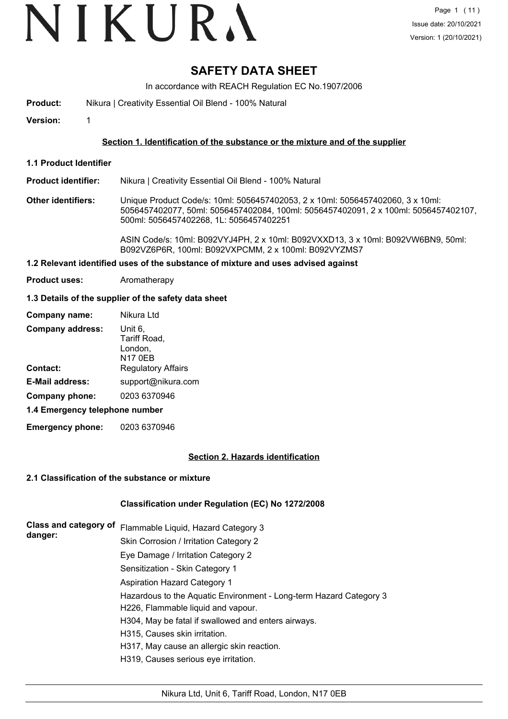# VIKURA

## **SAFETY DATA SHEET**

In accordance with REACH Regulation EC No.1907/2006

**Product:** Nikura | Creativity Essential Oil Blend - 100% Natural

**Version:** 1

#### **Section 1. Identification of the substance or the mixture and of the supplier**

**1.1 Product Identifier**

**Product identifier:** Nikura | Creativity Essential Oil Blend - 100% Natural

**Other identifiers:** Unique Product Code/s: 10ml: 5056457402053, 2 x 10ml: 5056457402060, 3 x 10ml: 5056457402077, 50ml: 5056457402084, 100ml: 5056457402091, 2 x 100ml: 5056457402107, 500ml: 5056457402268, 1L: 5056457402251

> ASIN Code/s: 10ml: B092VYJ4PH, 2 x 10ml: B092VXXD13, 3 x 10ml: B092VW6BN9, 50ml: B092VZ6P6R, 100ml: B092VXPCMM, 2 x 100ml: B092VYZMS7

### **1.2 Relevant identified uses of the substance of mixture and uses advised against**

**Product uses:** Aromatherapy

#### **1.3 Details of the supplier of the safety data sheet**

| Company name:                  | Nikura Ltd                                           |
|--------------------------------|------------------------------------------------------|
| <b>Company address:</b>        | Unit 6,<br>Tariff Road,<br>London,<br><b>N17 0EB</b> |
| <b>Contact:</b>                | <b>Regulatory Affairs</b>                            |
| <b>E-Mail address:</b>         | support@nikura.com                                   |
| Company phone:                 | 0203 6370946                                         |
| 1.4 Emergency telephone number |                                                      |

**Emergency phone:** 0203 6370946

#### **Section 2. Hazards identification**

#### **2.1 Classification of the substance or mixture**

#### **Classification under Regulation (EC) No 1272/2008**

| Class and category of<br>danger: | Flammable Liquid, Hazard Category 3                                |
|----------------------------------|--------------------------------------------------------------------|
|                                  | Skin Corrosion / Irritation Category 2                             |
|                                  | Eye Damage / Irritation Category 2                                 |
|                                  | Sensitization - Skin Category 1                                    |
|                                  | Aspiration Hazard Category 1                                       |
|                                  | Hazardous to the Aquatic Environment - Long-term Hazard Category 3 |
|                                  | H226, Flammable liquid and vapour.                                 |
|                                  | H304, May be fatal if swallowed and enters airways.                |
|                                  | H315, Causes skin irritation.                                      |
|                                  | H317, May cause an allergic skin reaction.                         |
|                                  | H319, Causes serious eye irritation.                               |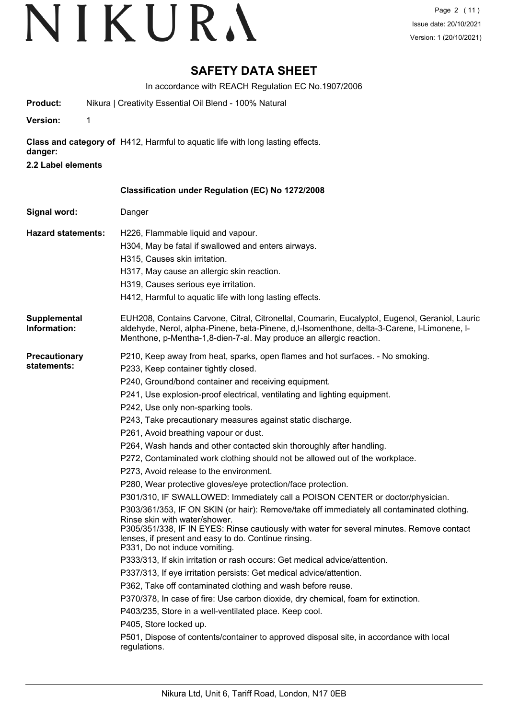## **SAFETY DATA SHEET**

In accordance with REACH Regulation EC No.1907/2006

| Product: | Nikura   Creativity Essential Oil Blend - 100% Natural |
|----------|--------------------------------------------------------|
|          |                                                        |

**Version:** 1

**Class and category of** H412, Harmful to aquatic life with long lasting effects.

- **danger:**
- **2.2 Label elements**

| Signal word:                        | Danger                                                                                                                                                                                                                                                                                                                                                                                                                                                                                                                                                                                                                                                                                                                                                                                                                                                                                                                                                                                                                                                                                                                                                                                                                                                                                                                                                                                                                                                                                                                                                                                     |
|-------------------------------------|--------------------------------------------------------------------------------------------------------------------------------------------------------------------------------------------------------------------------------------------------------------------------------------------------------------------------------------------------------------------------------------------------------------------------------------------------------------------------------------------------------------------------------------------------------------------------------------------------------------------------------------------------------------------------------------------------------------------------------------------------------------------------------------------------------------------------------------------------------------------------------------------------------------------------------------------------------------------------------------------------------------------------------------------------------------------------------------------------------------------------------------------------------------------------------------------------------------------------------------------------------------------------------------------------------------------------------------------------------------------------------------------------------------------------------------------------------------------------------------------------------------------------------------------------------------------------------------------|
| <b>Hazard statements:</b>           | H226, Flammable liquid and vapour.<br>H304, May be fatal if swallowed and enters airways.<br>H315, Causes skin irritation.<br>H317, May cause an allergic skin reaction.<br>H319, Causes serious eye irritation.<br>H412, Harmful to aquatic life with long lasting effects.                                                                                                                                                                                                                                                                                                                                                                                                                                                                                                                                                                                                                                                                                                                                                                                                                                                                                                                                                                                                                                                                                                                                                                                                                                                                                                               |
| Supplemental<br>Information:        | EUH208, Contains Carvone, Citral, Citronellal, Coumarin, Eucalyptol, Eugenol, Geraniol, Lauric<br>aldehyde, Nerol, alpha-Pinene, beta-Pinene, d,l-Isomenthone, delta-3-Carene, l-Limonene, l-<br>Menthone, p-Mentha-1,8-dien-7-al. May produce an allergic reaction.                                                                                                                                                                                                                                                                                                                                                                                                                                                                                                                                                                                                                                                                                                                                                                                                                                                                                                                                                                                                                                                                                                                                                                                                                                                                                                                       |
| <b>Precautionary</b><br>statements: | P210, Keep away from heat, sparks, open flames and hot surfaces. - No smoking.<br>P233, Keep container tightly closed.<br>P240, Ground/bond container and receiving equipment.<br>P241, Use explosion-proof electrical, ventilating and lighting equipment.<br>P242, Use only non-sparking tools.<br>P243, Take precautionary measures against static discharge.<br>P261, Avoid breathing vapour or dust.<br>P264, Wash hands and other contacted skin thoroughly after handling.<br>P272, Contaminated work clothing should not be allowed out of the workplace.<br>P273, Avoid release to the environment.<br>P280, Wear protective gloves/eye protection/face protection.<br>P301/310, IF SWALLOWED: Immediately call a POISON CENTER or doctor/physician.<br>P303/361/353, IF ON SKIN (or hair): Remove/take off immediately all contaminated clothing.<br>Rinse skin with water/shower.<br>P305/351/338, IF IN EYES: Rinse cautiously with water for several minutes. Remove contact<br>lenses, if present and easy to do. Continue rinsing.<br>P331, Do not induce vomiting.<br>P333/313, If skin irritation or rash occurs: Get medical advice/attention.<br>P337/313, If eye irritation persists: Get medical advice/attention.<br>P362, Take off contaminated clothing and wash before reuse.<br>P370/378, In case of fire: Use carbon dioxide, dry chemical, foam for extinction.<br>P403/235, Store in a well-ventilated place. Keep cool.<br>P405, Store locked up.<br>P501, Dispose of contents/container to approved disposal site, in accordance with local<br>regulations. |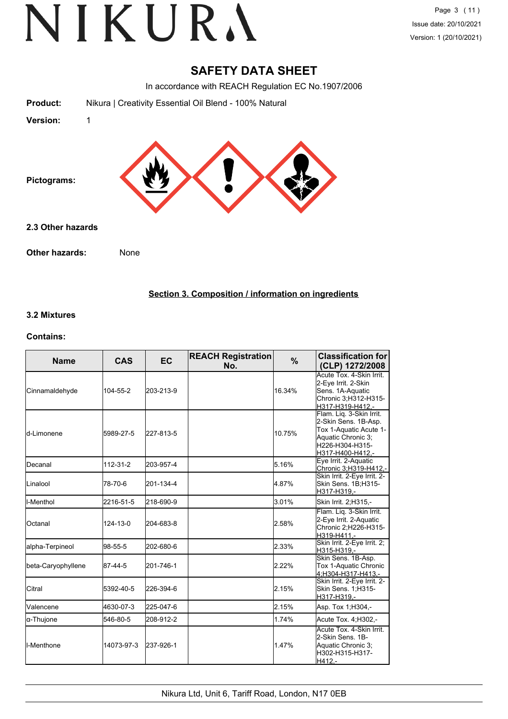### **SAFETY DATA SHEET**

In accordance with REACH Regulation EC No.1907/2006

| <b>Product:</b>   | Nikura   Creativity Essential Oil Blend - 100% Natural |
|-------------------|--------------------------------------------------------|
| <b>Version:</b>   | 1                                                      |
| Pictograms:       |                                                        |
| 2.3 Other hazards |                                                        |
| Other hazards:    | None                                                   |

#### **Section 3. Composition / information on ingredients**

#### **3.2 Mixtures**

#### **Contains:**

| <b>Name</b>         | <b>CAS</b> | <b>EC</b> | <b>REACH Registration</b><br>No. | %      | <b>Classification for</b><br>(CLP) 1272/2008                                                                                            |
|---------------------|------------|-----------|----------------------------------|--------|-----------------------------------------------------------------------------------------------------------------------------------------|
| Cinnamaldehyde      | 104-55-2   | 203-213-9 |                                  | 16.34% | Acute Tox. 4-Skin Irrit.<br>2-Eye Irrit. 2-Skin<br>Sens. 1A-Aquatic<br>Chronic 3;H312-H315-<br>H317-H319-H412,-                         |
| <b>l</b> d-Limonene | 5989-27-5  | 227-813-5 |                                  | 10.75% | Flam. Liq. 3-Skin Irrit.<br>2-Skin Sens. 1B-Asp.<br>Tox 1-Aquatic Acute 1-<br>Aquatic Chronic 3;<br>H226-H304-H315-<br>H317-H400-H412,- |
| <b>I</b> Decanal    | 112-31-2   | 203-957-4 |                                  | 5.16%  | Eye Irrit. 2-Aquatic<br>Chronic 3;H319-H412,-                                                                                           |
| <b>Linalool</b>     | 78-70-6    | 201-134-4 |                                  | 4.87%  | Skin Irrit. 2-Eye Irrit. 2-<br>Skin Sens. 1B;H315-<br>H317-H319.-                                                                       |
| ll-Menthol          | 2216-51-5  | 218-690-9 |                                  | 3.01%  | Skin Irrit. 2;H315,-                                                                                                                    |
| <b>Octanal</b>      | 124-13-0   | 204-683-8 |                                  | 2.58%  | Flam. Liq. 3-Skin Irrit.<br>2-Eye Irrit. 2-Aquatic<br>Chronic 2; H226-H315-<br>H319-H411,-                                              |
| alpha-Terpineol     | 98-55-5    | 202-680-6 |                                  | 2.33%  | Skin Irrit. 2-Eye Irrit. 2;<br>H315-H319,-                                                                                              |
| beta-Caryophyllene  | 87-44-5    | 201-746-1 |                                  | 2.22%  | Skin Sens. 1B-Asp.<br>Tox 1-Aquatic Chronic<br>4:H304-H317-H413.-                                                                       |
| Citral              | 5392-40-5  | 226-394-6 |                                  | 2.15%  | Skin Irrit. 2-Eye Irrit. 2-<br>Skin Sens. 1;H315-<br>H317-H319.-                                                                        |
| Valencene           | 4630-07-3  | 225-047-6 |                                  | 2.15%  | Asp. Tox 1, H304,-                                                                                                                      |
| α-Thujone           | 546-80-5   | 208-912-2 |                                  | 1.74%  | Acute Tox. 4; H302,-                                                                                                                    |
| II-Menthone         | 14073-97-3 | 237-926-1 |                                  | 1.47%  | Acute Tox. 4-Skin Irrit.<br>2-Skin Sens, 1B-<br>Aquatic Chronic 3;<br>H302-H315-H317-<br>H412.-                                         |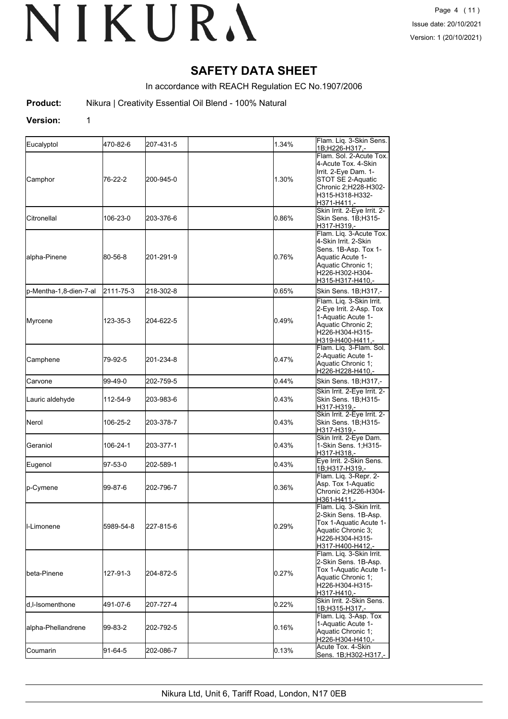## **SAFETY DATA SHEET**

In accordance with REACH Regulation EC No.1907/2006

**Product:** Nikura | Creativity Essential Oil Blend - 100% Natural

#### **Version:** 1

| Eucalyptol             | 470-82-6  | 207-431-5 | 1.34% | Flam. Liq. 3-Skin Sens.<br>1B:H226-H317.-                                                                                                                |
|------------------------|-----------|-----------|-------|----------------------------------------------------------------------------------------------------------------------------------------------------------|
| Camphor                | 76-22-2   | 200-945-0 | 1.30% | Flam. Sol. 2-Acute Tox.<br>4-Acute Tox. 4-Skin<br>Irrit. 2-Eye Dam. 1-<br>STOT SE 2-Aquatic<br>Chronic 2;H228-H302-<br>H315-H318-H332-<br>H371-H411,-    |
| Citronellal            | 106-23-0  | 203-376-6 | 0.86% | Skin Irrit. 2-Eye Irrit. 2-<br>Skin Sens. 1B;H315-<br>H317-H319.-                                                                                        |
| alpha-Pinene           | 80-56-8   | 201-291-9 | 0.76% | Flam. Liq. 3-Acute Tox.<br>4-Skin Irrit. 2-Skin<br>Sens. 1B-Asp. Tox 1-<br>Aquatic Acute 1-<br>Aquatic Chronic 1;<br>H226-H302-H304-<br>H315-H317-H410,- |
| p-Mentha-1,8-dien-7-al | 2111-75-3 | 218-302-8 | 0.65% | Skin Sens. 1B;H317,-                                                                                                                                     |
| Myrcene                | 123-35-3  | 204-622-5 | 0.49% | Flam. Liq. 3-Skin Irrit.<br>2-Eye Irrit. 2-Asp. Tox<br>1-Aquatic Acute 1-<br>Aquatic Chronic 2;<br>H226-H304-H315-<br>H319-H400-H411,-                   |
| Camphene               | 79-92-5   | 201-234-8 | 0.47% | Flam. Liq. 3-Flam. Sol.<br>2-Aquatic Acute 1-<br>Aquatic Chronic 1:<br>H226-H228-H410,-                                                                  |
| Carvone                | 99-49-0   | 202-759-5 | 0.44% | Skin Sens. 1B;H317,-                                                                                                                                     |
| Lauric aldehyde        | 112-54-9  | 203-983-6 | 0.43% | Skin Irrit. 2-Eye Irrit. 2-<br>Skin Sens. 1B;H315-<br>H317-H319.-                                                                                        |
| Nerol                  | 106-25-2  | 203-378-7 | 0.43% | Skin Irrit. 2-Eye Irrit. 2-<br>Skin Sens. 1B;H315-<br>H317-H319,-                                                                                        |
| Geraniol               | 106-24-1  | 203-377-1 | 0.43% | Skin Irrit. 2-Eye Dam.<br>1-Skin Sens. 1;H315-<br>H317-H318,-                                                                                            |
| Eugenol                | 97-53-0   | 202-589-1 | 0.43% | Eye Irrit. 2-Skin Sens.<br>1B:H317-H319.-                                                                                                                |
| p-Cymene               | 99-87-6   | 202-796-7 | 0.36% | Flam. Liq. 3-Repr. 2-<br>Asp. Tox 1-Aquatic<br>Chronic 2;H226-H304-<br>H361-H411.-                                                                       |
| ll-Limonene            | 5989-54-8 | 227-815-6 | 0.29% | Flam. Lig. 3-Skin Irrit.<br>2-Skin Sens. 1B-Asp.<br>Tox 1-Aquatic Acute 1-<br>Aquatic Chronic 3;<br>H226-H304-H315-<br>H317-H400-H412,-                  |
| lbeta-Pinene           | 127-91-3  | 204-872-5 | 0.27% | Flam. Liq. 3-Skin Irrit.<br>2-Skin Sens. 1B-Asp.<br>Tox 1-Aquatic Acute 1-<br>Aquatic Chronic 1;<br>H226-H304-H315-<br>H317-H410,-                       |
| d,I-Isomenthone        | 491-07-6  | 207-727-4 | 0.22% | Skin Irrit. 2-Skin Sens.<br>1B;H315-H317,-                                                                                                               |
| alpha-Phellandrene     | 99-83-2   | 202-792-5 | 0.16% | Flam. Liq. 3-Asp. Tox<br>1-Aquatic Acute 1-<br>Aquatic Chronic 1;<br>H226-H304-H410,-                                                                    |
| Coumarin               | 91-64-5   | 202-086-7 | 0.13% | Acute Tox. 4-Skin<br>Sens. 1B;H302-H317,-                                                                                                                |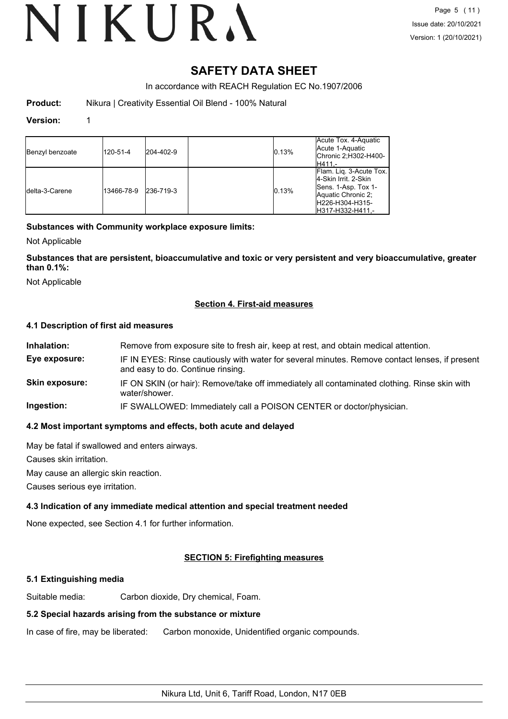## **SAFETY DATA SHEET**

In accordance with REACH Regulation EC No.1907/2006

**Product:** Nikura | Creativity Essential Oil Blend - 100% Natural

#### **Version:** 1

| Benzyl benzoate | 120-51-4   | 204-402-9 | 0.13% | Acute Tox. 4-Aquatic<br>Acute 1-Aquatic<br>Chronic 2;H302-H400-<br>IH411.-                                                            |
|-----------------|------------|-----------|-------|---------------------------------------------------------------------------------------------------------------------------------------|
| Idelta-3-Carene | 13466-78-9 | 236-719-3 | 0.13% | Flam. Lig. 3-Acute Tox.<br>4-Skin Irrit, 2-Skin<br>Sens. 1-Asp. Tox 1-<br>Aquatic Chronic 2:<br>IH226-H304-H315-<br>IH317-H332-H411.- |

#### **Substances with Community workplace exposure limits:**

Not Applicable

**Substances that are persistent, bioaccumulative and toxic or very persistent and very bioaccumulative, greater than 0.1%:**

Not Applicable

#### **Section 4. First-aid measures**

#### **4.1 Description of first aid measures**

| Remove from exposure site to fresh air, keep at rest, and obtain medical attention.                                                 |
|-------------------------------------------------------------------------------------------------------------------------------------|
| IF IN EYES: Rinse cautiously with water for several minutes. Remove contact lenses, if present<br>and easy to do. Continue rinsing. |
| IF ON SKIN (or hair): Remove/take off immediately all contaminated clothing. Rinse skin with<br>water/shower.                       |
| IF SWALLOWED: Immediately call a POISON CENTER or doctor/physician.                                                                 |
|                                                                                                                                     |

#### **4.2 Most important symptoms and effects, both acute and delayed**

May be fatal if swallowed and enters airways.

Causes skin irritation.

May cause an allergic skin reaction.

Causes serious eye irritation.

### **4.3 Indication of any immediate medical attention and special treatment needed**

None expected, see Section 4.1 for further information.

### **SECTION 5: Firefighting measures**

#### **5.1 Extinguishing media**

Suitable media: Carbon dioxide, Dry chemical, Foam.

#### **5.2 Special hazards arising from the substance or mixture**

In case of fire, may be liberated: Carbon monoxide, Unidentified organic compounds.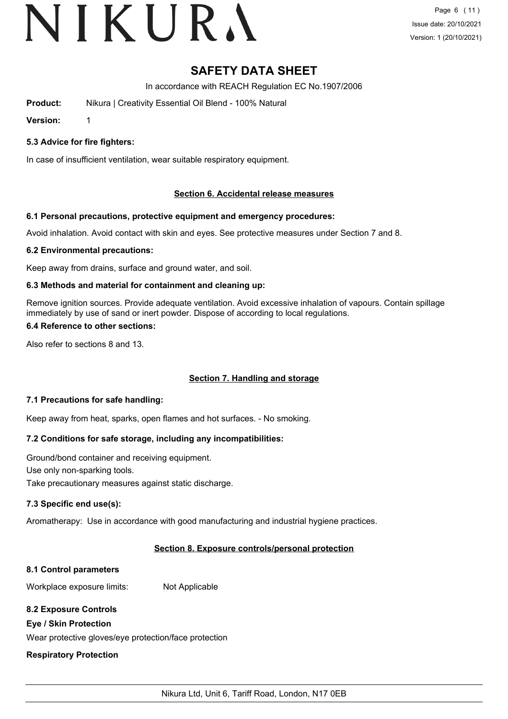# VIKURA

## **SAFETY DATA SHEET**

In accordance with REACH Regulation EC No.1907/2006

**Product:** Nikura | Creativity Essential Oil Blend - 100% Natural

**Version:** 1

#### **5.3 Advice for fire fighters:**

In case of insufficient ventilation, wear suitable respiratory equipment.

#### **Section 6. Accidental release measures**

#### **6.1 Personal precautions, protective equipment and emergency procedures:**

Avoid inhalation. Avoid contact with skin and eyes. See protective measures under Section 7 and 8.

#### **6.2 Environmental precautions:**

Keep away from drains, surface and ground water, and soil.

#### **6.3 Methods and material for containment and cleaning up:**

Remove ignition sources. Provide adequate ventilation. Avoid excessive inhalation of vapours. Contain spillage immediately by use of sand or inert powder. Dispose of according to local regulations.

#### **6.4 Reference to other sections:**

Also refer to sections 8 and 13.

### **Section 7. Handling and storage**

#### **7.1 Precautions for safe handling:**

Keep away from heat, sparks, open flames and hot surfaces. - No smoking.

### **7.2 Conditions for safe storage, including any incompatibilities:**

Ground/bond container and receiving equipment. Use only non-sparking tools. Take precautionary measures against static discharge.

#### **7.3 Specific end use(s):**

Aromatherapy: Use in accordance with good manufacturing and industrial hygiene practices.

#### **Section 8. Exposure controls/personal protection**

#### **8.1 Control parameters**

Workplace exposure limits: Not Applicable

#### **8.2 Exposure Controls**

#### **Eye / Skin Protection**

Wear protective gloves/eye protection/face protection

#### **Respiratory Protection**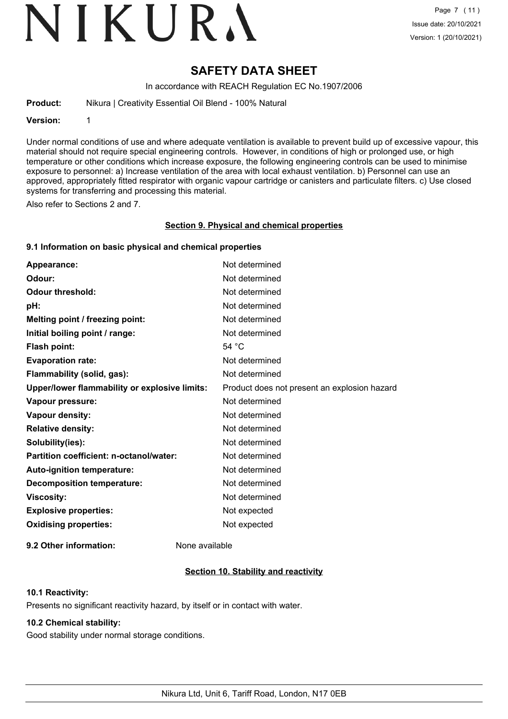# VIKURA

## **SAFETY DATA SHEET**

In accordance with REACH Regulation EC No.1907/2006

**Product:** Nikura | Creativity Essential Oil Blend - 100% Natural

#### **Version:** 1

Under normal conditions of use and where adequate ventilation is available to prevent build up of excessive vapour, this material should not require special engineering controls. However, in conditions of high or prolonged use, or high temperature or other conditions which increase exposure, the following engineering controls can be used to minimise exposure to personnel: a) Increase ventilation of the area with local exhaust ventilation. b) Personnel can use an approved, appropriately fitted respirator with organic vapour cartridge or canisters and particulate filters. c) Use closed systems for transferring and processing this material.

Also refer to Sections 2 and 7.

#### **Section 9. Physical and chemical properties**

#### **9.1 Information on basic physical and chemical properties**

| Appearance:                                   | Not determined                               |
|-----------------------------------------------|----------------------------------------------|
| Odour:                                        | Not determined                               |
| <b>Odour threshold:</b>                       | Not determined                               |
| pH:                                           | Not determined                               |
| Melting point / freezing point:               | Not determined                               |
| Initial boiling point / range:                | Not determined                               |
| <b>Flash point:</b>                           | 54 $^{\circ}$ C                              |
| <b>Evaporation rate:</b>                      | Not determined                               |
| Flammability (solid, gas):                    | Not determined                               |
| Upper/lower flammability or explosive limits: | Product does not present an explosion hazard |
| Vapour pressure:                              | Not determined                               |
| Vapour density:                               | Not determined                               |
| <b>Relative density:</b>                      | Not determined                               |
| Solubility(ies):                              | Not determined                               |
| Partition coefficient: n-octanol/water:       | Not determined                               |
| Auto-ignition temperature:                    | Not determined                               |
| <b>Decomposition temperature:</b>             | Not determined                               |
| <b>Viscosity:</b>                             | Not determined                               |
| <b>Explosive properties:</b>                  | Not expected                                 |
| <b>Oxidising properties:</b>                  | Not expected                                 |
|                                               |                                              |

**9.2 Other information:** None available

### **Section 10. Stability and reactivity**

#### **10.1 Reactivity:**

Presents no significant reactivity hazard, by itself or in contact with water.

### **10.2 Chemical stability:**

Good stability under normal storage conditions.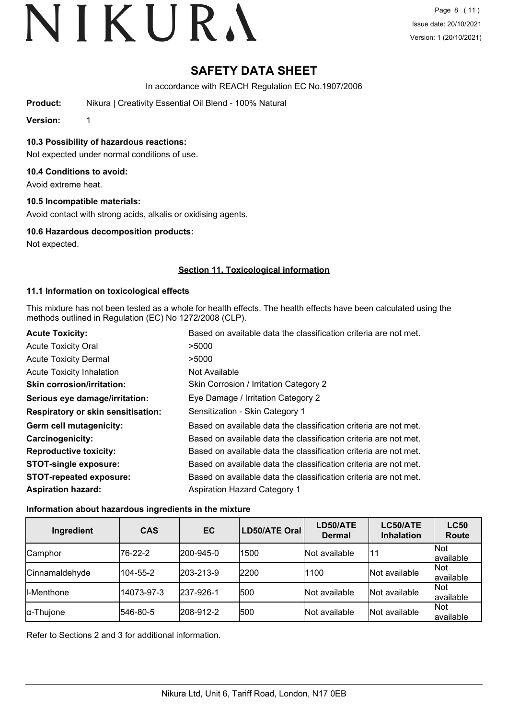## **SAFETY DATA SHEET**

In accordance with REACH Regulation EC No.1907/2006

**Product:** Nikura | Creativity Essential Oil Blend - 100% Natural

**Version:** 1

**10.3 Possibility of hazardous reactions:**

Not expected under normal conditions of use.

#### **10.4 Conditions to avoid:**

Avoid extreme heat.

#### **10.5 Incompatible materials:**

Avoid contact with strong acids, alkalis or oxidising agents.

#### **10.6 Hazardous decomposition products:**

Not expected.

#### **Section 11. Toxicological information**

#### **11.1 Information on toxicological effects**

This mixture has not been tested as a whole for health effects. The health effects have been calculated using the methods outlined in Regulation (EC) No 1272/2008 (CLP).

| <b>Acute Toxicity:</b>                    | Based on available data the classification criteria are not met. |
|-------------------------------------------|------------------------------------------------------------------|
| <b>Acute Toxicity Oral</b>                | >5000                                                            |
| <b>Acute Toxicity Dermal</b>              | >5000                                                            |
| <b>Acute Toxicity Inhalation</b>          | Not Available                                                    |
| <b>Skin corrosion/irritation:</b>         | Skin Corrosion / Irritation Category 2                           |
| Serious eye damage/irritation:            | Eye Damage / Irritation Category 2                               |
| <b>Respiratory or skin sensitisation:</b> | Sensitization - Skin Category 1                                  |
| Germ cell mutagenicity:                   | Based on available data the classification criteria are not met. |
| <b>Carcinogenicity:</b>                   | Based on available data the classification criteria are not met. |
| <b>Reproductive toxicity:</b>             | Based on available data the classification criteria are not met. |
| <b>STOT-single exposure:</b>              | Based on available data the classification criteria are not met. |
| <b>STOT-repeated exposure:</b>            | Based on available data the classification criteria are not met. |
| <b>Aspiration hazard:</b>                 | <b>Aspiration Hazard Category 1</b>                              |

#### **Information about hazardous ingredients in the mixture**

| Ingredient         | <b>CAS</b> | EC                | LD50/ATE Oral | LD50/ATE<br><b>Dermal</b> | LC50/ATE<br><b>Inhalation</b> | <b>LC50</b><br>Route    |
|--------------------|------------|-------------------|---------------|---------------------------|-------------------------------|-------------------------|
| Camphor            | 76-22-2    | 200-945-0         | 1500          | Not available             | 11                            | Not<br>available        |
| Cinnamaldehyde     | 104-55-2   | $ 203 - 213 - 9 $ | 2200          | 1100                      | Not available                 | Not<br>available        |
| <b>II-Menthone</b> | 14073-97-3 | 237-926-1         | 500           | Not available             | Not available                 | Not<br>available        |
| $\alpha$ -Thujone  | 546-80-5   | 208-912-2         | 500           | Not available             | Not available                 | <b>Not</b><br>available |

Refer to Sections 2 and 3 for additional information.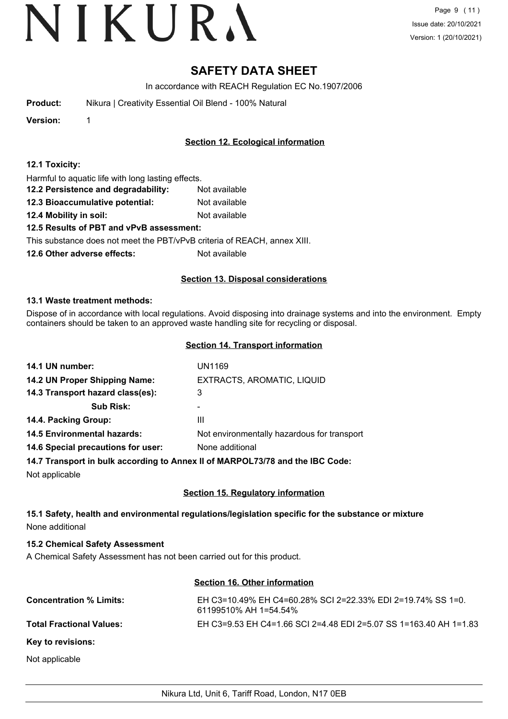## **SAFETY DATA SHEET**

In accordance with REACH Regulation EC No.1907/2006

**Product:** Nikura | Creativity Essential Oil Blend - 100% Natural

**Version:** 1

### **Section 12. Ecological information**

Harmful to aquatic life with long lasting effects.

- **12.2 Persistence and degradability:** Not available
- **12.3 Bioaccumulative potential:** Not available
- **12.4 Mobility in soil:** Not available

#### **12.5 Results of PBT and vPvB assessment:**

This substance does not meet the PBT/vPvB criteria of REACH, annex XIII.

**12.6 Other adverse effects:** Not available

#### **Section 13. Disposal considerations**

#### **13.1 Waste treatment methods:**

Dispose of in accordance with local regulations. Avoid disposing into drainage systems and into the environment. Empty containers should be taken to an approved waste handling site for recycling or disposal.

#### **Section 14. Transport information**

| 14.1 UN number:                    | UN1169                                                                                                     |
|------------------------------------|------------------------------------------------------------------------------------------------------------|
| 14.2 UN Proper Shipping Name:      | EXTRACTS, AROMATIC, LIQUID                                                                                 |
| 14.3 Transport hazard class(es):   | 3                                                                                                          |
| <b>Sub Risk:</b>                   | ۰                                                                                                          |
| 14.4. Packing Group:               | Ш                                                                                                          |
| <b>14.5 Environmental hazards:</b> | Not environmentally hazardous for transport                                                                |
| 14.6 Special precautions for user: | None additional                                                                                            |
|                                    | 44 Y There is not be the the constitution of a constant of <b>MA RRAI VAIVA</b> and the <b>IRA A</b> cuto- |

**14.7 Transport in bulk according to Annex II of MARPOL73/78 and the IBC Code:**

Not applicable

### **Section 15. Regulatory information**

### **15.1 Safety, health and environmental regulations/legislation specific for the substance or mixture** None additional

#### **15.2 Chemical Safety Assessment**

A Chemical Safety Assessment has not been carried out for this product.

#### **Section 16. Other information**

| <b>Concentration % Limits:</b>  | EH C3=10.49% EH C4=60.28% SCI 2=22.33% EDI 2=19.74% SS 1=0.<br>61199510% AH 1=54.54% |
|---------------------------------|--------------------------------------------------------------------------------------|
| <b>Total Fractional Values:</b> | EH C3=9.53 EH C4=1.66 SCI 2=4.48 EDI 2=5.07 SS 1=163.40 AH 1=1.83                    |
| Key to revisions:               |                                                                                      |
| Not applicable                  |                                                                                      |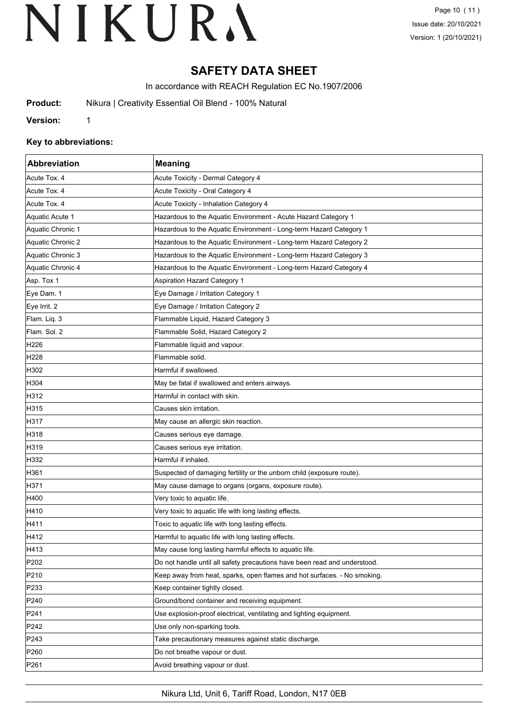## **SAFETY DATA SHEET**

In accordance with REACH Regulation EC No.1907/2006

**Product:** Nikura | Creativity Essential Oil Blend - 100% Natural

**Version:** 1

#### **Key to abbreviations:**

| Abbreviation      | <b>Meaning</b>                                                            |  |
|-------------------|---------------------------------------------------------------------------|--|
| Acute Tox. 4      | Acute Toxicity - Dermal Category 4                                        |  |
| Acute Tox. 4      | Acute Toxicity - Oral Category 4                                          |  |
| Acute Tox. 4      | Acute Toxicity - Inhalation Category 4                                    |  |
| Aquatic Acute 1   | Hazardous to the Aquatic Environment - Acute Hazard Category 1            |  |
| Aquatic Chronic 1 | Hazardous to the Aquatic Environment - Long-term Hazard Category 1        |  |
| Aquatic Chronic 2 | Hazardous to the Aquatic Environment - Long-term Hazard Category 2        |  |
| Aquatic Chronic 3 | Hazardous to the Aquatic Environment - Long-term Hazard Category 3        |  |
| Aquatic Chronic 4 | Hazardous to the Aquatic Environment - Long-term Hazard Category 4        |  |
| Asp. Tox 1        | <b>Aspiration Hazard Category 1</b>                                       |  |
| Eye Dam. 1        | Eye Damage / Irritation Category 1                                        |  |
| Eye Irrit. 2      | Eye Damage / Irritation Category 2                                        |  |
| Flam. Liq. 3      | Flammable Liquid, Hazard Category 3                                       |  |
| Flam. Sol. 2      | Flammable Solid, Hazard Category 2                                        |  |
| H226              | Flammable liquid and vapour.                                              |  |
| H <sub>228</sub>  | Flammable solid.                                                          |  |
| H302              | Harmful if swallowed.                                                     |  |
| H304              | May be fatal if swallowed and enters airways.                             |  |
| H312              | Harmful in contact with skin.                                             |  |
| H315              | Causes skin irritation.                                                   |  |
| H317              | May cause an allergic skin reaction.                                      |  |
| H318              | Causes serious eye damage.                                                |  |
| H319              | Causes serious eye irritation.                                            |  |
| H332              | Harmful if inhaled.                                                       |  |
| H361              | Suspected of damaging fertility or the unborn child (exposure route).     |  |
| H371              | May cause damage to organs (organs, exposure route).                      |  |
| H400              | Very toxic to aquatic life.                                               |  |
| H410              | Very toxic to aquatic life with long lasting effects.                     |  |
| H411              | Toxic to aquatic life with long lasting effects.                          |  |
| H412              | Harmful to aquatic life with long lasting effects.                        |  |
| H413              | May cause long lasting harmful effects to aquatic life.                   |  |
| P202              | Do not handle until all safety precautions have been read and understood. |  |
| P210              | Keep away from heat, sparks, open flames and hot surfaces. - No smoking.  |  |
| P233              | Keep container tightly closed.                                            |  |
| P240              | Ground/bond container and receiving equipment.                            |  |
| P241              | Use explosion-proof electrical, ventilating and lighting equipment.       |  |
| P242              | Use only non-sparking tools.                                              |  |
| P243              | Take precautionary measures against static discharge.                     |  |
| P <sub>260</sub>  | Do not breathe vapour or dust.                                            |  |
| P261              | Avoid breathing vapour or dust.                                           |  |